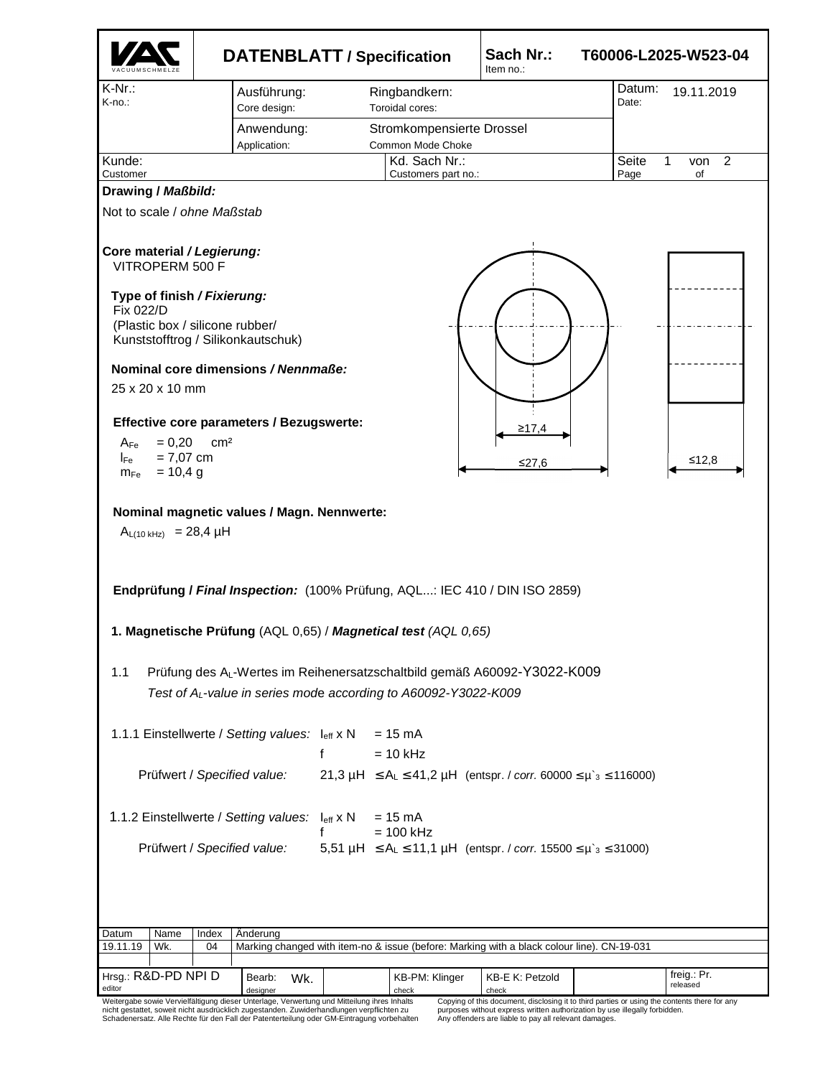|                                                                               |                                                                                                                                                                                                                                                                                        | <b>DATENBLATT / Specification</b>                                                                                                                      | Sach Nr.:<br>Item no.:                                                                                                              | T60006-L2025-W523-04                                                                         |  |  |  |  |  |
|-------------------------------------------------------------------------------|----------------------------------------------------------------------------------------------------------------------------------------------------------------------------------------------------------------------------------------------------------------------------------------|--------------------------------------------------------------------------------------------------------------------------------------------------------|-------------------------------------------------------------------------------------------------------------------------------------|----------------------------------------------------------------------------------------------|--|--|--|--|--|
| $K-Nr$ .:<br>K-no.:                                                           | Ausführung:<br>Core design:<br>Anwendung:<br>Application:                                                                                                                                                                                                                              | Ringbandkern:<br>Toroidal cores:<br>Stromkompensierte Drossel<br>Common Mode Choke                                                                     |                                                                                                                                     | Datum:<br>19.11.2019<br>Date:                                                                |  |  |  |  |  |
| Kunde:<br>Customer                                                            |                                                                                                                                                                                                                                                                                        | Kd. Sach Nr.:<br>Customers part no.:                                                                                                                   |                                                                                                                                     | Seite<br>1<br>2<br>von<br>Page<br>of                                                         |  |  |  |  |  |
| Drawing / Maßbild:                                                            |                                                                                                                                                                                                                                                                                        |                                                                                                                                                        |                                                                                                                                     |                                                                                              |  |  |  |  |  |
| Not to scale / ohne Maßstab                                                   |                                                                                                                                                                                                                                                                                        |                                                                                                                                                        |                                                                                                                                     |                                                                                              |  |  |  |  |  |
| Core material / Legierung:<br>VITROPERM 500 F                                 |                                                                                                                                                                                                                                                                                        |                                                                                                                                                        |                                                                                                                                     |                                                                                              |  |  |  |  |  |
| Type of finish / Fixierung:<br>Fix 022/D                                      | (Plastic box / silicone rubber/<br>Kunststofftrog / Silikonkautschuk)                                                                                                                                                                                                                  |                                                                                                                                                        |                                                                                                                                     |                                                                                              |  |  |  |  |  |
|                                                                               | Nominal core dimensions / Nennmaße:                                                                                                                                                                                                                                                    |                                                                                                                                                        |                                                                                                                                     |                                                                                              |  |  |  |  |  |
| 25 x 20 x 10 mm                                                               |                                                                                                                                                                                                                                                                                        |                                                                                                                                                        |                                                                                                                                     |                                                                                              |  |  |  |  |  |
| $= 0,20$<br>$A_{Fe}$<br>$= 7,07$ cm<br>$I_{\sf Fe}$<br>$= 10,4 g$<br>$m_{Fe}$ | <b>Effective core parameters / Bezugswerte:</b><br>cm <sup>2</sup>                                                                                                                                                                                                                     |                                                                                                                                                        | ≥17.4<br>≤27,6                                                                                                                      | ≤12,8                                                                                        |  |  |  |  |  |
| $A_{L(10 kHz)}$ = 28,4 µH                                                     | Nominal magnetic values / Magn. Nennwerte:                                                                                                                                                                                                                                             |                                                                                                                                                        |                                                                                                                                     |                                                                                              |  |  |  |  |  |
| Endprüfung / Final Inspection: (100% Prüfung, AQL: IEC 410 / DIN ISO 2859)    |                                                                                                                                                                                                                                                                                        |                                                                                                                                                        |                                                                                                                                     |                                                                                              |  |  |  |  |  |
|                                                                               |                                                                                                                                                                                                                                                                                        | 1. Magnetische Prüfung (AQL 0,65) / Magnetical test (AQL 0,65)                                                                                         |                                                                                                                                     |                                                                                              |  |  |  |  |  |
| 1.1                                                                           |                                                                                                                                                                                                                                                                                        | Prüfung des AL-Wertes im Reihenersatzschaltbild gemäß A60092-Y3022-K009<br>Test of A <sub>L</sub> -value in series mode according to A60092-Y3022-K009 |                                                                                                                                     |                                                                                              |  |  |  |  |  |
|                                                                               | 1.1.1 Einstellwerte / Setting values: $I_{\text{eff}} x N = 15 mA$                                                                                                                                                                                                                     | f<br>$= 10$ kHz                                                                                                                                        |                                                                                                                                     |                                                                                              |  |  |  |  |  |
|                                                                               | Prüfwert / Specified value:                                                                                                                                                                                                                                                            | 21,3 $\mu$ H $\le A_L \le 41,2 \mu$ H (entspr. / corr. 60000 $\le \mu$ 's $\le 116000$ )                                                               |                                                                                                                                     |                                                                                              |  |  |  |  |  |
|                                                                               | 1.1.2 Einstellwerte / Setting values: leff x N                                                                                                                                                                                                                                         | $= 15 \text{ mA}$<br>$= 100$ kHz                                                                                                                       |                                                                                                                                     |                                                                                              |  |  |  |  |  |
|                                                                               | Prüfwert / Specified value:                                                                                                                                                                                                                                                            | 5,51 $\mu$ H $\le A_L \le 11,1 \mu$ H (entspr. / corr. 15500 $\le \mu$ <sup>3</sup> $\le$ 31000)                                                       |                                                                                                                                     |                                                                                              |  |  |  |  |  |
|                                                                               |                                                                                                                                                                                                                                                                                        |                                                                                                                                                        |                                                                                                                                     |                                                                                              |  |  |  |  |  |
| Name<br>Datum<br>Wk.<br>19.11.19                                              | Index<br>Anderung<br>04                                                                                                                                                                                                                                                                | Marking changed with item-no & issue (before: Marking with a black colour line). CN-19-031                                                             |                                                                                                                                     |                                                                                              |  |  |  |  |  |
|                                                                               |                                                                                                                                                                                                                                                                                        |                                                                                                                                                        |                                                                                                                                     |                                                                                              |  |  |  |  |  |
| Hrsg.: R&D-PD NPI D<br>editor                                                 | Bearb:<br>Wk.<br>designer                                                                                                                                                                                                                                                              | KB-PM: Klinger<br>check                                                                                                                                | KB-E K: Petzold<br>check                                                                                                            | freig.: Pr.<br>released                                                                      |  |  |  |  |  |
|                                                                               | Weitergabe sowie Vervielfältigung dieser Unterlage, Verwertung und Mitteilung ihres Inhalts<br>nicht gestattet, soweit nicht ausdrücklich zugestanden. Zuwiderhandlungen verpflichten zu<br>Schadenersatz. Alle Rechte für den Fall der Patenterteilung oder GM-Eintragung vorbehalten |                                                                                                                                                        | purposes without express written authorization by use illegally forbidden.<br>Any offenders are liable to pay all relevant damages. | Copying of this document, disclosing it to third parties or using the contents there for any |  |  |  |  |  |